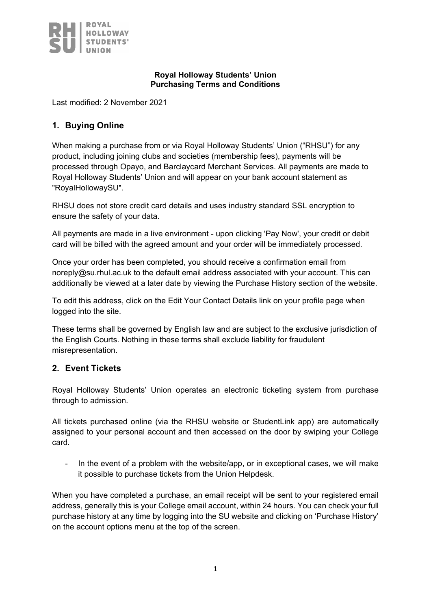

#### **Royal Holloway Students' Union Purchasing Terms and Conditions**

Last modified: 2 November 2021

### **1. Buying Online**

When making a purchase from or via Royal Holloway Students' Union ("RHSU") for any product, including joining clubs and societies (membership fees), payments will be processed through Opayo, and Barclaycard Merchant Services. All payments are made to Royal Holloway Students' Union and will appear on your bank account statement as "RoyalHollowaySU".

RHSU does not store credit card details and uses industry standard SSL encryption to ensure the safety of your data.

All payments are made in a live environment - upon clicking 'Pay Now', your credit or debit card will be billed with the agreed amount and your order will be immediately processed.

Once your order has been completed, you should receive a confirmation email from noreply@su.rhul.ac.uk to the default email address associated with your account. This can additionally be viewed at a later date by viewing the Purchase History section of the website.

To edit this address, click on the Edit Your Contact Details link on your profile page when logged into the site.

These terms shall be governed by English law and are subject to the exclusive jurisdiction of the English Courts. Nothing in these terms shall exclude liability for fraudulent misrepresentation.

### **2. Event Tickets**

Royal Holloway Students' Union operates an electronic ticketing system from purchase through to admission.

All tickets purchased online (via the RHSU website or StudentLink app) are automatically assigned to your personal account and then accessed on the door by swiping your College card.

- In the event of a problem with the website/app, or in exceptional cases, we will make it possible to purchase tickets from the Union Helpdesk.

When you have completed a purchase, an email receipt will be sent to your registered email address, generally this is your College email account, within 24 hours. You can check your full purchase history at any time by logging into the SU website and clicking on 'Purchase History' on the account options menu at the top of the screen.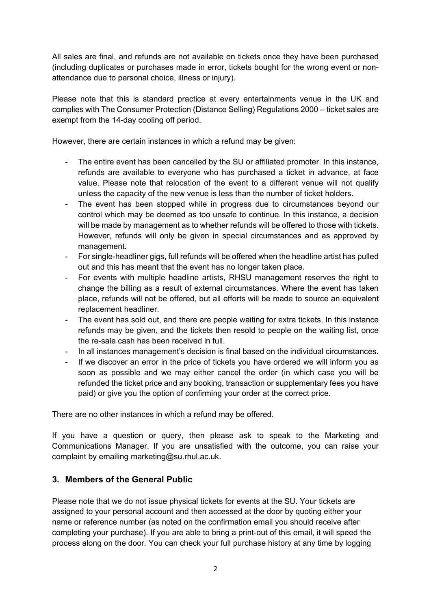All sales are final, and refunds are not available on tickets once they have been purchased (including duplicates or purchases made in error, tickets bought for the wrong event or nonattendance due to personal choice, illness or injury).

Please note that this is standard practice at every entertainments venue in the UK and complies with The Consumer Protection (Distance Selling) Regulations 2000 – ticket sales are exempt from the 14-day cooling off period.

However, there are certain instances in which a refund may be given:

- The entire event has been cancelled by the SU or affiliated promoter. In this instance, refunds are available to everyone who has purchased a ticket in advance, at face value. Please note that relocation of the event to a different venue will not qualify unless the capacity of the new venue is less than the number of ticket holders.
- The event has been stopped while in progress due to circumstances beyond our control which may be deemed as too unsafe to continue. In this instance, a decision will be made by management as to whether refunds will be offered to those with tickets. However, refunds will only be given in special circumstances and as approved by management.
- For single-headliner gigs, full refunds will be offered when the headline artist has pulled out and this has meant that the event has no longer taken place.
- For events with multiple headline artists, RHSU management reserves the right to change the billing as a result of external circumstances. Where the event has taken place, refunds will not be offered, but all efforts will be made to source an equivalent replacement headliner.
- The event has sold out, and there are people waiting for extra tickets. In this instance refunds may be given, and the tickets then resold to people on the waiting list, once the re-sale cash has been received in full.
- In all instances management's decision is final based on the individual circumstances.
- If we discover an error in the price of tickets you have ordered we will inform you as soon as possible and we may either cancel the order (in which case you will be refunded the ticket price and any booking, transaction or supplementary fees you have paid) or give you the option of confirming your order at the correct price.

There are no other instances in which a refund may be offered.

If you have a question or query, then please ask to speak to the Marketing and Communications Manager. If you are unsatisfied with the outcome, you can raise your complaint by emailing marketing@su.rhul.ac.uk.

### **3. Members of the General Public**

Please note that we do not issue physical tickets for events at the SU. Your tickets are assigned to your personal account and then accessed at the door by quoting either your name or reference number (as noted on the confirmation email you should receive after completing your purchase). If you are able to bring a print-out of this email, it will speed the process along on the door. You can check your full purchase history at any time by logging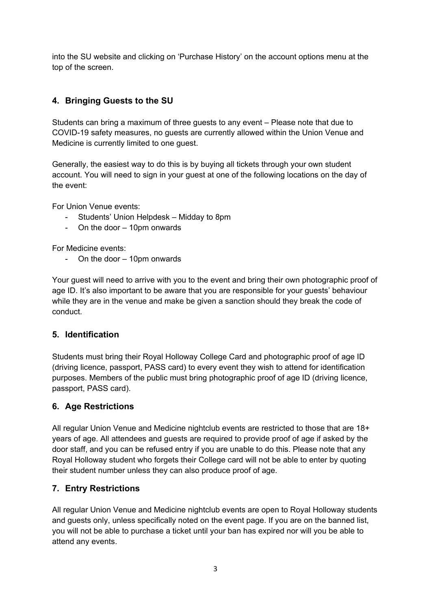into the SU website and clicking on 'Purchase History' on the account options menu at the top of the screen.

# **4. Bringing Guests to the SU**

Students can bring a maximum of three guests to any event – Please note that due to COVID-19 safety measures, no guests are currently allowed within the Union Venue and Medicine is currently limited to one guest.

Generally, the easiest way to do this is by buying all tickets through your own student account. You will need to sign in your guest at one of the following locations on the day of the event:

For Union Venue events:

- Students' Union Helpdesk Midday to 8pm
- On the door 10pm onwards

For Medicine events:

On the door  $-$  10pm onwards

Your guest will need to arrive with you to the event and bring their own photographic proof of age ID. It's also important to be aware that you are responsible for your guests' behaviour while they are in the venue and make be given a sanction should they break the code of conduct.

### **5. Identification**

Students must bring their Royal Holloway College Card and photographic proof of age ID (driving licence, passport, PASS card) to every event they wish to attend for identification purposes. Members of the public must bring photographic proof of age ID (driving licence, passport, PASS card).

### **6. Age Restrictions**

All regular Union Venue and Medicine nightclub events are restricted to those that are 18+ years of age. All attendees and guests are required to provide proof of age if asked by the door staff, and you can be refused entry if you are unable to do this. Please note that any Royal Holloway student who forgets their College card will not be able to enter by quoting their student number unless they can also produce proof of age.

### **7. Entry Restrictions**

All regular Union Venue and Medicine nightclub events are open to Royal Holloway students and guests only, unless specifically noted on the event page. If you are on the banned list, you will not be able to purchase a ticket until your ban has expired nor will you be able to attend any events.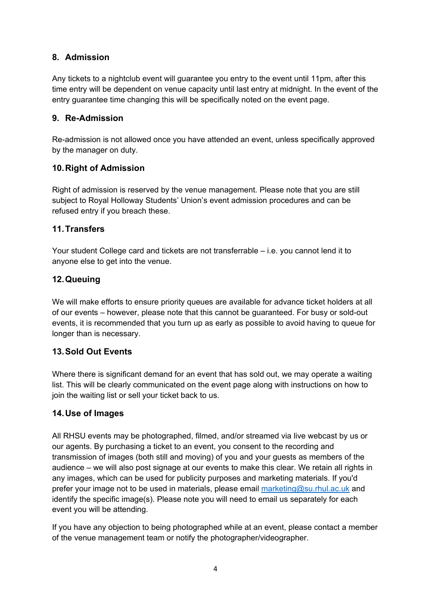# **8. Admission**

Any tickets to a nightclub event will guarantee you entry to the event until 11pm, after this time entry will be dependent on venue capacity until last entry at midnight. In the event of the entry guarantee time changing this will be specifically noted on the event page.

### **9. Re-Admission**

Re-admission is not allowed once you have attended an event, unless specifically approved by the manager on duty.

# **10.Right of Admission**

Right of admission is reserved by the venue management. Please note that you are still subject to Royal Holloway Students' Union's event admission procedures and can be refused entry if you breach these.

# **11.Transfers**

Your student College card and tickets are not transferrable – i.e. you cannot lend it to anyone else to get into the venue.

# **12.Queuing**

We will make efforts to ensure priority queues are available for advance ticket holders at all of our events – however, please note that this cannot be guaranteed. For busy or sold-out events, it is recommended that you turn up as early as possible to avoid having to queue for longer than is necessary.

### **13.Sold Out Events**

Where there is significant demand for an event that has sold out, we may operate a waiting list. This will be clearly communicated on the event page along with instructions on how to join the waiting list or sell your ticket back to us.

### **14.Use of Images**

All RHSU events may be photographed, filmed, and/or streamed via live webcast by us or our agents. By purchasing a ticket to an event, you consent to the recording and transmission of images (both still and moving) of you and your guests as members of the audience – we will also post signage at our events to make this clear. We retain all rights in any images, which can be used for publicity purposes and marketing materials. If you'd prefer your image not to be used in materials, please email [marketing@su.rhul.ac.uk](mailto:marketing@su.rhul.ac.uk) and identify the specific image(s). Please note you will need to email us separately for each event you will be attending.

If you have any objection to being photographed while at an event, please contact a member of the venue management team or notify the photographer/videographer.